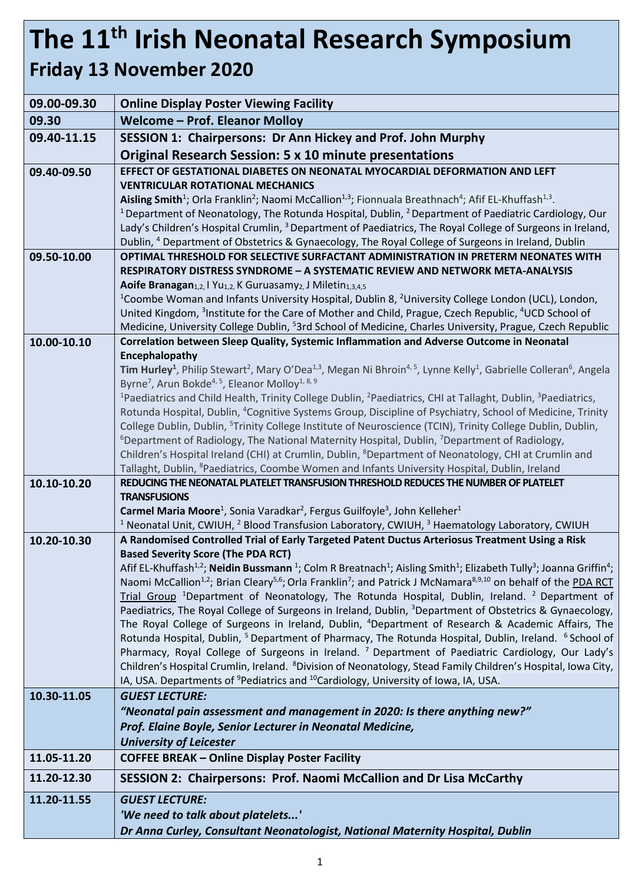## **The 11 th Irish Neonatal Research Symposium Friday 13 November 2020**

## **09.00-09.30 Online Display Poster Viewing Facility 09.30 Welcome – Prof. Eleanor Molloy 09.40-11.15 SESSION 1: Chairpersons: Dr Ann Hickey and Prof. John Murphy Original Research Session: 5 x 10 minute presentations 09.40-09.50 EFFECT OF GESTATIONAL DIABETES ON NEONATAL MYOCARDIAL DEFORMATION AND LEFT VENTRICULAR ROTATIONAL MECHANICS**  Aisling Smith<sup>1</sup>; Orla Franklin<sup>2</sup>; Naomi McCallion<sup>1,3</sup>; Fionnuala Breathnach<sup>4</sup>; Afif EL-Khuffash<sup>1,3</sup>. <sup>1</sup> Department of Neonatology, The Rotunda Hospital, Dublin, <sup>2</sup> Department of Paediatric Cardiology, Our Lady's Children's Hospital Crumlin, <sup>3</sup> Department of Paediatrics, The Royal College of Surgeons in Ireland, Dublin, <sup>4</sup> Department of Obstetrics & Gynaecology, The Royal College of Surgeons in Ireland, Dublin **09.50-10.00 OPTIMAL THRESHOLD FOR SELECTIVE SURFACTANT ADMINISTRATION IN PRETERM NEONATES WITH RESPIRATORY DISTRESS SYNDROME – A SYSTEMATIC REVIEW AND NETWORK META-ANALYSIS Aoife Branagan**<sub>1,2</sub>, I Yu<sub>1,2</sub>, K Guruasamy<sub>2</sub>, J Miletin<sub>1,3,4,5</sub> <sup>1</sup>Coombe Woman and Infants University Hospital, Dublin 8, <sup>2</sup>University College London (UCL), London, United Kingdom, <sup>3</sup>Institute for the Care of Mother and Child, Prague, Czech Republic, <sup>4</sup>UCD School of Medicine, University College Dublin, <sup>5</sup>3rd School of Medicine, Charles University, Prague, Czech Republic **10.00-10.10 Correlation between Sleep Quality, Systemic Inflammation and Adverse Outcome in Neonatal Encephalopathy Tim Hurley<sup>1</sup>**, Philip Stewart<sup>2</sup>, Mary O'Dea<sup>1,3</sup>, Megan Ni Bhroin<sup>4, 5</sup>, Lynne Kelly<sup>1</sup>, Gabrielle Colleran<sup>6</sup>, Angela Byrne<sup>7</sup>, Arun Bokde<sup>4, 5</sup>, Eleanor Molloy<sup>1, 8, 9</sup> <sup>1</sup>Paediatrics and Child Health, Trinity College Dublin, <sup>2</sup>Paediatrics, CHI at Tallaght, Dublin, <sup>3</sup>Paediatrics, Rotunda Hospital, Dublin, <sup>4</sup>Cognitive Systems Group, Discipline of Psychiatry, School of Medicine, Trinity College Dublin, Dublin, <sup>5</sup>Trinity College Institute of Neuroscience (TCIN), Trinity College Dublin, Dublin, <sup>6</sup>Department of Radiology, The National Maternity Hospital, Dublin, <sup>7</sup>Department of Radiology, Children's Hospital Ireland (CHI) at Crumlin, Dublin, <sup>8</sup>Department of Neonatology, CHI at Crumlin and Tallaght, Dublin, <sup>8</sup>Paediatrics, Coombe Women and Infants University Hospital, Dublin, Ireland **10.10-10.20 REDUCING THE NEONATAL PLATELET TRANSFUSION THRESHOLD REDUCES THE NUMBER OF PLATELET TRANSFUSIONS**  Carmel Maria Moore<sup>1</sup>, Sonia Varadkar<sup>2</sup>, Fergus Guilfoyle<sup>3</sup>, John Kelleher<sup>1</sup> <sup>1</sup> Neonatal Unit, CWIUH, <sup>2</sup> Blood Transfusion Laboratory, CWIUH,  $3$  Haematology Laboratory, CWIUH **10.20-10.30 A Randomised Controlled Trial of Early Targeted Patent Ductus Arteriosus Treatment Using a Risk Based Severity Score (The PDA RCT)**  Afif EL-Khuffash<sup>1,2</sup>; **Neidin Bussmann** <sup>1</sup>; Colm R Breatnach<sup>1</sup>; Aisling Smith<sup>1</sup>; Elizabeth Tully<sup>3</sup>; Joanna Griffin<sup>4</sup>; Naomi McCallion<sup>1,2</sup>; Brian Cleary<sup>5,6</sup>; Orla Franklin<sup>7</sup>; and Patrick J McNamara<sup>8,9,10</sup> on behalf of the PDA RCT Trial Group <sup>1</sup>Department of Neonatology, The Rotunda Hospital, Dublin, Ireland. <sup>2</sup> Department of Paediatrics, The Royal College of Surgeons in Ireland, Dublin, <sup>3</sup>Department of Obstetrics & Gynaecology, The Royal College of Surgeons in Ireland, Dublin, <sup>4</sup>Department of Research & Academic Affairs, The Rotunda Hospital, Dublin, <sup>5</sup> Department of Pharmacy, The Rotunda Hospital, Dublin, Ireland. <sup>6</sup> School of Pharmacy, Royal College of Surgeons in Ireland.<sup>7</sup> Department of Paediatric Cardiology, Our Lady's Children's Hospital Crumlin, Ireland. <sup>8</sup>Division of Neonatology, Stead Family Children's Hospital, Iowa City, IA, USA. Departments of <sup>9</sup>Pediatrics and <sup>10</sup>Cardiology, University of Iowa, IA, USA. **10.30-11.05** *GUEST LECTURE: "Neonatal pain assessment and management in 2020: Is there anything new?" Prof. Elaine Boyle, Senior Lecturer in Neonatal Medicine, University of Leicester* **11.05-11.20 COFFEE BREAK – Online Display Poster Facility 11.20-12.30 SESSION 2: Chairpersons: Prof. Naomi McCallion and Dr Lisa McCarthy 11.20-11.55** *GUEST LECTURE: 'We need to talk about platelets...' Dr Anna Curley, Consultant Neonatologist, National Maternity Hospital, Dublin*